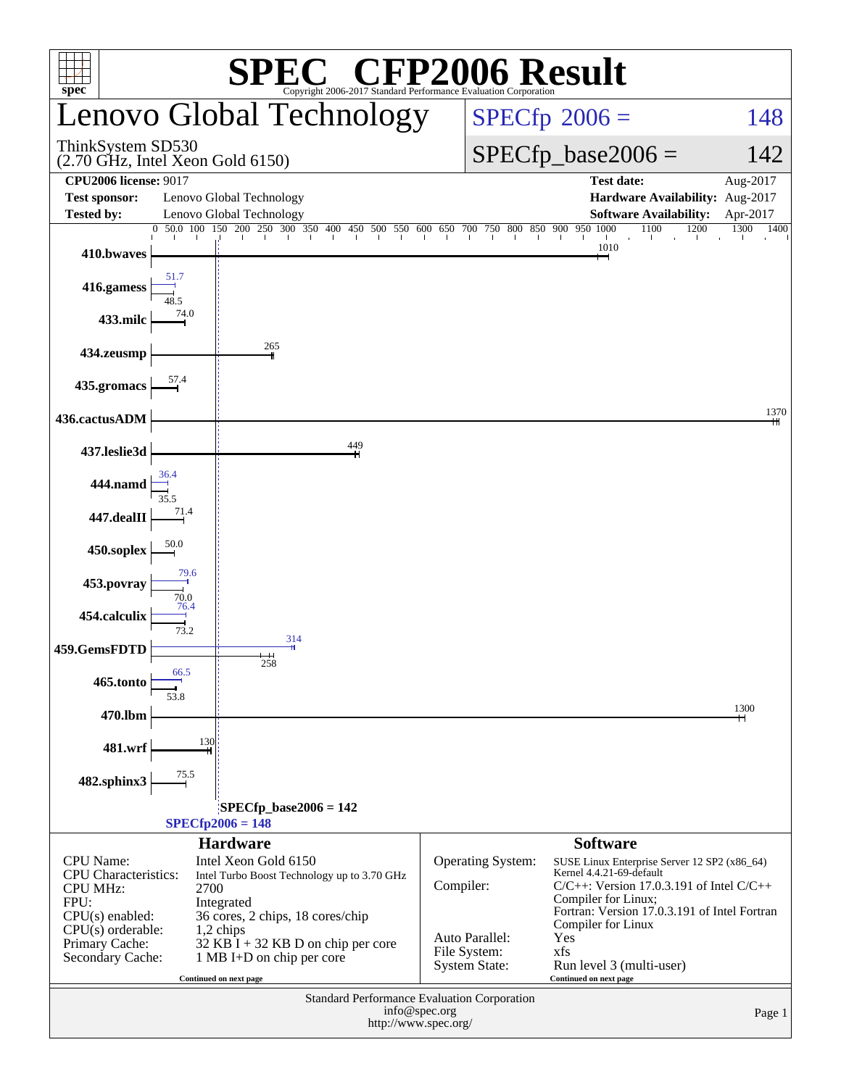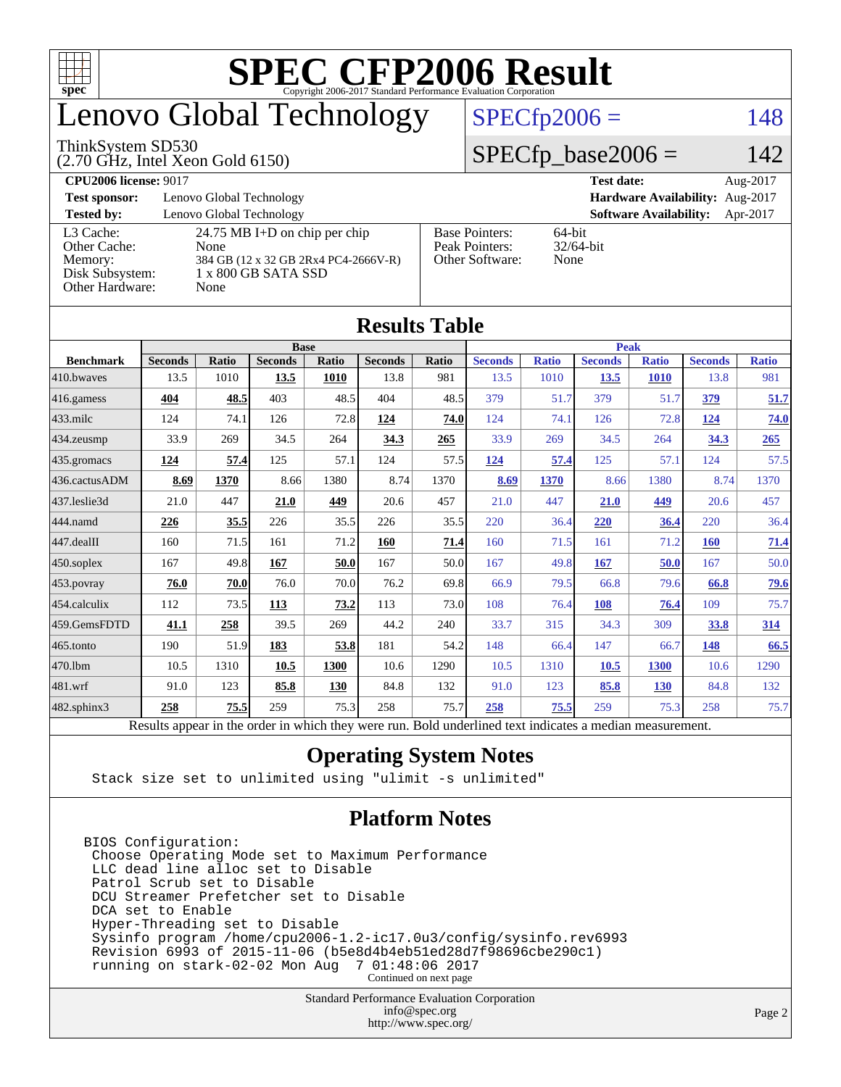

# enovo Global Technology

#### ThinkSystem SD530

(2.70 GHz, Intel Xeon Gold 6150)

### $SPECfp2006 = 148$  $SPECfp2006 = 148$

### $SPECfp\_base2006 =$

| <b>CPU2006 license: 9017</b>                                               |                                                                                                                     |                                                            | <b>Test date:</b><br>Aug-2017             |
|----------------------------------------------------------------------------|---------------------------------------------------------------------------------------------------------------------|------------------------------------------------------------|-------------------------------------------|
| <b>Test sponsor:</b>                                                       | Lenovo Global Technology                                                                                            |                                                            | Hardware Availability: Aug-2017           |
| <b>Tested by:</b>                                                          | Lenovo Global Technology                                                                                            |                                                            | <b>Software Availability:</b><br>Apr-2017 |
| L3 Cache:<br>Other Cache:<br>Memory:<br>Disk Subsystem:<br>Other Hardware: | 24.75 MB I+D on chip per chip<br>None<br>384 GB (12 x 32 GB 2Rx4 PC4-2666V-R)<br>$1 \times 800$ GB SATA SSD<br>None | <b>Base Pointers:</b><br>Peak Pointers:<br>Other Software: | $64$ -bit<br>$32/64$ -bit<br>None         |

| Results Tavic     |                                                                                                          |              |                |       |                |       |                |              |                |              |                |              |
|-------------------|----------------------------------------------------------------------------------------------------------|--------------|----------------|-------|----------------|-------|----------------|--------------|----------------|--------------|----------------|--------------|
|                   | <b>Base</b>                                                                                              |              |                |       |                |       | <b>Peak</b>    |              |                |              |                |              |
| <b>Benchmark</b>  | <b>Seconds</b>                                                                                           | <b>Ratio</b> | <b>Seconds</b> | Ratio | <b>Seconds</b> | Ratio | <b>Seconds</b> | <b>Ratio</b> | <b>Seconds</b> | <b>Ratio</b> | <b>Seconds</b> | <b>Ratio</b> |
| 410.bwayes        | 13.5                                                                                                     | 1010         | 13.5           | 1010  | 13.8           | 981   | 13.5           | 1010         | 13.5           | <b>1010</b>  | 13.8           | 981          |
| $416$ .gamess     | 404                                                                                                      | 48.5         | 403            | 48.5  | 404            | 48.5  | 379            | 51.7         | 379            | 51.7         | 379            | 51.7         |
| $433$ .milc       | 124                                                                                                      | 74.1         | 126            | 72.8  | 124            | 74.0  | 124            | 74.1         | 126            | 72.8         | <u>124</u>     | 74.0         |
| $434$ . zeusmp    | 33.9                                                                                                     | 269          | 34.5           | 264   | 34.3           | 265   | 33.9           | 269          | 34.5           | 264          | 34.3           | 265          |
| $435.$ gromacs    | 124                                                                                                      | 57.4         | 125            | 57.1  | 124            | 57.5  | 124            | 57.4         | 125            | 57.1         | 124            | 57.5         |
| 436.cactusADM     | 8.69                                                                                                     | 1370         | 8.66           | 1380  | 8.74           | 1370  | 8.69           | 1370         | 8.66           | 1380         | 8.74           | 1370         |
| 437.leslie3d      | 21.0                                                                                                     | 447          | 21.0           | 449   | 20.6           | 457   | 21.0           | 447          | 21.0           | 449          | 20.6           | 457          |
| 444.namd          | 226                                                                                                      | 35.5         | 226            | 35.5  | 226            | 35.5  | 220            | 36.4         | 220            | 36.4         | 220            | 36.4         |
| 447.dealII        | 160                                                                                                      | 71.5         | 161            | 71.2  | 160            | 71.4  | 160            | 71.5         | 161            | 71.2         | <b>160</b>     | 71.4         |
| $450$ .soplex     | 167                                                                                                      | 49.8         | 167            | 50.0  | 167            | 50.0  | 167            | 49.8         | 167            | 50.0         | 167            | 50.0         |
| 453.povray        | 76.0                                                                                                     | 70.0         | 76.0           | 70.0  | 76.2           | 69.8  | 66.9           | 79.5         | 66.8           | 79.6         | 66.8           | <u>79.6</u>  |
| 454.calculix      | 112                                                                                                      | 73.5         | 113            | 73.2  | 113            | 73.0  | 108            | 76.4         | 108            | 76.4         | 109            | 75.7         |
| 459.GemsFDTD      | 41.1                                                                                                     | 258          | 39.5           | 269   | 44.2           | 240   | 33.7           | 315          | 34.3           | 309          | 33.8           | 314          |
| $465$ .tonto      | 190                                                                                                      | 51.9         | 183            | 53.8  | 181            | 54.2  | 148            | 66.4         | 147            | 66.7         | 148            | 66.5         |
| 470.1bm           | 10.5                                                                                                     | 1310         | 10.5           | 1300  | 10.6           | 1290  | 10.5           | 1310         | 10.5           | 1300         | 10.6           | 1290         |
| 481.wrf           | 91.0                                                                                                     | 123          | 85.8           | 130   | 84.8           | 132   | 91.0           | 123          | 85.8           | <b>130</b>   | 84.8           | 132          |
| $482$ .sphinx $3$ | 258                                                                                                      | 75.5         | 259            | 75.3  | 258            | 75.7  | 258            | 75.5         | 259            | 75.3         | 258            | 75.7         |
|                   | Results appear in the order in which they were run. Bold underlined text indicates a median measurement. |              |                |       |                |       |                |              |                |              |                |              |

#### **[Results Table](http://www.spec.org/auto/cpu2006/Docs/result-fields.html#ResultsTable)**

### **[Operating System Notes](http://www.spec.org/auto/cpu2006/Docs/result-fields.html#OperatingSystemNotes)**

Stack size set to unlimited using "ulimit -s unlimited"

### **[Platform Notes](http://www.spec.org/auto/cpu2006/Docs/result-fields.html#PlatformNotes)**

BIOS Configuration: Choose Operating Mode set to Maximum Performance LLC dead line alloc set to Disable Patrol Scrub set to Disable DCU Streamer Prefetcher set to Disable DCA set to Enable Hyper-Threading set to Disable Sysinfo program /home/cpu2006-1.2-ic17.0u3/config/sysinfo.rev6993 Revision 6993 of 2015-11-06 (b5e8d4b4eb51ed28d7f98696cbe290c1) running on stark-02-02 Mon Aug 7 01:48:06 2017 Continued on next page

> Standard Performance Evaluation Corporation [info@spec.org](mailto:info@spec.org) <http://www.spec.org/>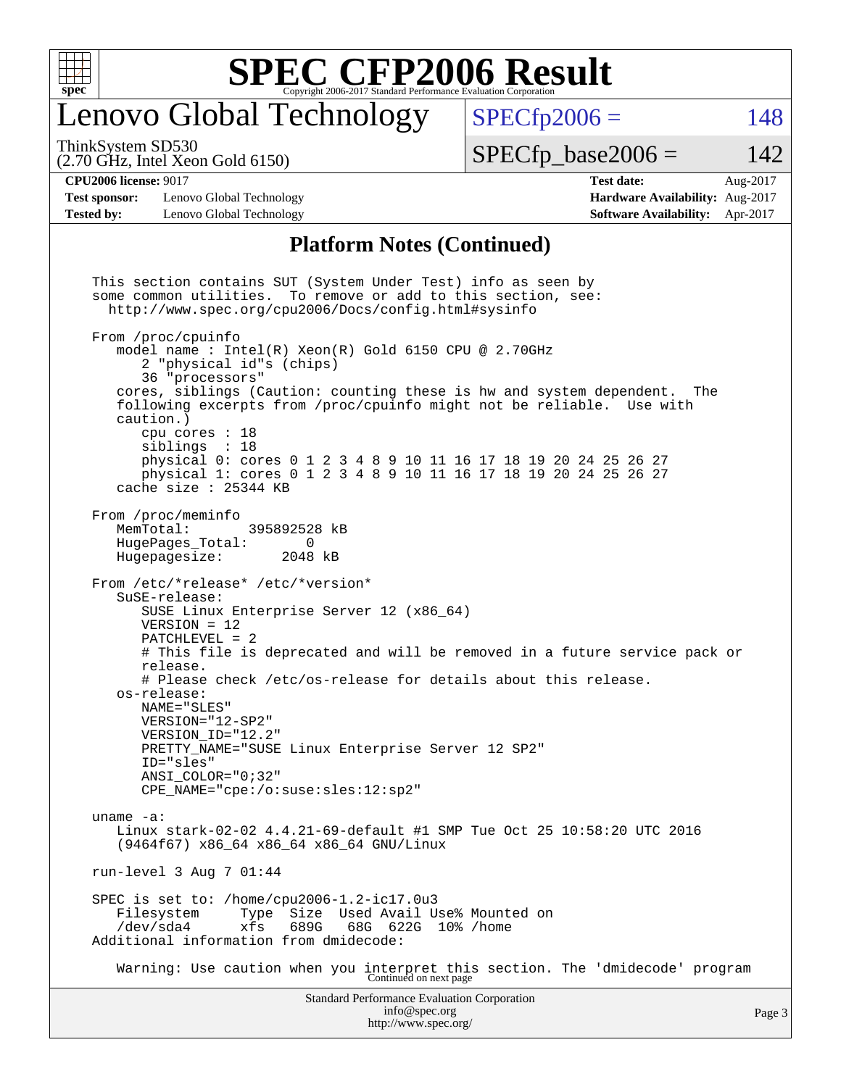

# enovo Global Technology

ThinkSystem SD530

(2.70 GHz, Intel Xeon Gold 6150)

 $SPECTp2006 = 148$ 

 $SPECTp\_base2006 = 142$ 

#### **[CPU2006 license:](http://www.spec.org/auto/cpu2006/Docs/result-fields.html#CPU2006license)** 9017 **[Test date:](http://www.spec.org/auto/cpu2006/Docs/result-fields.html#Testdate)** Aug-2017

**[Test sponsor:](http://www.spec.org/auto/cpu2006/Docs/result-fields.html#Testsponsor)** Lenovo Global Technology **[Hardware Availability:](http://www.spec.org/auto/cpu2006/Docs/result-fields.html#HardwareAvailability)** Aug-2017 **[Tested by:](http://www.spec.org/auto/cpu2006/Docs/result-fields.html#Testedby)** Lenovo Global Technology **[Software Availability:](http://www.spec.org/auto/cpu2006/Docs/result-fields.html#SoftwareAvailability)** Apr-2017

#### **[Platform Notes \(Continued\)](http://www.spec.org/auto/cpu2006/Docs/result-fields.html#PlatformNotes)**

Standard Performance Evaluation Corporation [info@spec.org](mailto:info@spec.org) This section contains SUT (System Under Test) info as seen by some common utilities. To remove or add to this section, see: <http://www.spec.org/cpu2006/Docs/config.html#sysinfo> From /proc/cpuinfo model name : Intel(R) Xeon(R) Gold 6150 CPU @ 2.70GHz 2 "physical id"s (chips) 36 "processors" cores, siblings (Caution: counting these is hw and system dependent. The following excerpts from /proc/cpuinfo might not be reliable. Use with caution.) cpu cores : 18 siblings : 18 physical 0: cores 0 1 2 3 4 8 9 10 11 16 17 18 19 20 24 25 26 27 physical 1: cores 0 1 2 3 4 8 9 10 11 16 17 18 19 20 24 25 26 27 cache size : 25344 KB From /proc/meminfo<br>MemTotal: 395892528 kB HugePages\_Total: 0 Hugepagesize: 2048 kB From /etc/\*release\* /etc/\*version\* SuSE-release: SUSE Linux Enterprise Server 12 (x86\_64) VERSION = 12 PATCHLEVEL = 2 # This file is deprecated and will be removed in a future service pack or release. # Please check /etc/os-release for details about this release. os-release: NAME="SLES" VERSION="12-SP2" VERSION\_ID="12.2" PRETTY\_NAME="SUSE Linux Enterprise Server 12 SP2" ID="sles" ANSI\_COLOR="0;32" CPE\_NAME="cpe:/o:suse:sles:12:sp2" uname -a: Linux stark-02-02 4.4.21-69-default #1 SMP Tue Oct 25 10:58:20 UTC 2016 (9464f67) x86\_64 x86\_64 x86\_64 GNU/Linux run-level 3 Aug 7 01:44 SPEC is set to: /home/cpu2006-1.2-ic17.0u3 Filesystem Type Size Used Avail Use% Mounted on<br>
/dev/sda4 xfs 689G 68G 622G 10% /home /dev/sda4 xfs 689G 68G 622G 10% /home Additional information from dmidecode: Warning: Use caution when you interpret this section. The 'dmidecode' program Continued on next page

<http://www.spec.org/>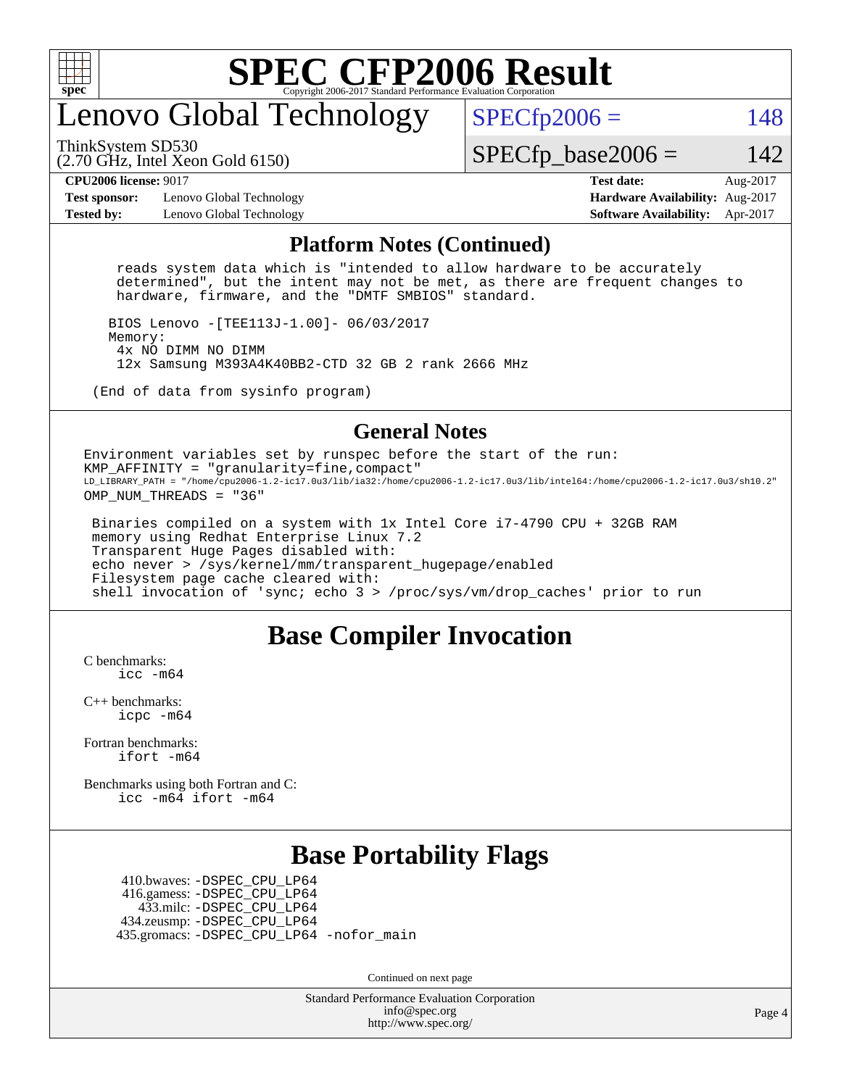

# enovo Global Technology

ThinkSystem SD530

 $SPECTp2006 = 148$ 

(2.70 GHz, Intel Xeon Gold 6150)

 $SPECTp\_base2006 = 142$ 

**[Test sponsor:](http://www.spec.org/auto/cpu2006/Docs/result-fields.html#Testsponsor)** Lenovo Global Technology **[Hardware Availability:](http://www.spec.org/auto/cpu2006/Docs/result-fields.html#HardwareAvailability)** Aug-2017 **[Tested by:](http://www.spec.org/auto/cpu2006/Docs/result-fields.html#Testedby)** Lenovo Global Technology **[Software Availability:](http://www.spec.org/auto/cpu2006/Docs/result-fields.html#SoftwareAvailability)** Apr-2017

**[CPU2006 license:](http://www.spec.org/auto/cpu2006/Docs/result-fields.html#CPU2006license)** 9017 **[Test date:](http://www.spec.org/auto/cpu2006/Docs/result-fields.html#Testdate)** Aug-2017

#### **[Platform Notes \(Continued\)](http://www.spec.org/auto/cpu2006/Docs/result-fields.html#PlatformNotes)**

 reads system data which is "intended to allow hardware to be accurately determined", but the intent may not be met, as there are frequent changes to hardware, firmware, and the "DMTF SMBIOS" standard.

 BIOS Lenovo -[TEE113J-1.00]- 06/03/2017 Memory: 4x NO DIMM NO DIMM 12x Samsung M393A4K40BB2-CTD 32 GB 2 rank 2666 MHz

(End of data from sysinfo program)

#### **[General Notes](http://www.spec.org/auto/cpu2006/Docs/result-fields.html#GeneralNotes)**

Environment variables set by runspec before the start of the run: KMP\_AFFINITY = "granularity=fine,compact" LD\_LIBRARY\_PATH = "/home/cpu2006-1.2-ic17.0u3/lib/ia32:/home/cpu2006-1.2-ic17.0u3/lib/intel64:/home/cpu2006-1.2-ic17.0u3/sh10.2" OMP NUM THREADS = "36"

 Binaries compiled on a system with 1x Intel Core i7-4790 CPU + 32GB RAM memory using Redhat Enterprise Linux 7.2 Transparent Huge Pages disabled with: echo never > /sys/kernel/mm/transparent\_hugepage/enabled Filesystem page cache cleared with: shell invocation of 'sync; echo 3 > /proc/sys/vm/drop\_caches' prior to run

### **[Base Compiler Invocation](http://www.spec.org/auto/cpu2006/Docs/result-fields.html#BaseCompilerInvocation)**

[C benchmarks](http://www.spec.org/auto/cpu2006/Docs/result-fields.html#Cbenchmarks): [icc -m64](http://www.spec.org/cpu2006/results/res2017q4/cpu2006-20170919-50131.flags.html#user_CCbase_intel_icc_64bit_bda6cc9af1fdbb0edc3795bac97ada53)

[C++ benchmarks:](http://www.spec.org/auto/cpu2006/Docs/result-fields.html#CXXbenchmarks) [icpc -m64](http://www.spec.org/cpu2006/results/res2017q4/cpu2006-20170919-50131.flags.html#user_CXXbase_intel_icpc_64bit_fc66a5337ce925472a5c54ad6a0de310)

[Fortran benchmarks](http://www.spec.org/auto/cpu2006/Docs/result-fields.html#Fortranbenchmarks): [ifort -m64](http://www.spec.org/cpu2006/results/res2017q4/cpu2006-20170919-50131.flags.html#user_FCbase_intel_ifort_64bit_ee9d0fb25645d0210d97eb0527dcc06e)

[Benchmarks using both Fortran and C](http://www.spec.org/auto/cpu2006/Docs/result-fields.html#BenchmarksusingbothFortranandC): [icc -m64](http://www.spec.org/cpu2006/results/res2017q4/cpu2006-20170919-50131.flags.html#user_CC_FCbase_intel_icc_64bit_bda6cc9af1fdbb0edc3795bac97ada53) [ifort -m64](http://www.spec.org/cpu2006/results/res2017q4/cpu2006-20170919-50131.flags.html#user_CC_FCbase_intel_ifort_64bit_ee9d0fb25645d0210d97eb0527dcc06e)

### **[Base Portability Flags](http://www.spec.org/auto/cpu2006/Docs/result-fields.html#BasePortabilityFlags)**

 410.bwaves: [-DSPEC\\_CPU\\_LP64](http://www.spec.org/cpu2006/results/res2017q4/cpu2006-20170919-50131.flags.html#suite_basePORTABILITY410_bwaves_DSPEC_CPU_LP64) 416.gamess: [-DSPEC\\_CPU\\_LP64](http://www.spec.org/cpu2006/results/res2017q4/cpu2006-20170919-50131.flags.html#suite_basePORTABILITY416_gamess_DSPEC_CPU_LP64) 433.milc: [-DSPEC\\_CPU\\_LP64](http://www.spec.org/cpu2006/results/res2017q4/cpu2006-20170919-50131.flags.html#suite_basePORTABILITY433_milc_DSPEC_CPU_LP64) 434.zeusmp: [-DSPEC\\_CPU\\_LP64](http://www.spec.org/cpu2006/results/res2017q4/cpu2006-20170919-50131.flags.html#suite_basePORTABILITY434_zeusmp_DSPEC_CPU_LP64) 435.gromacs: [-DSPEC\\_CPU\\_LP64](http://www.spec.org/cpu2006/results/res2017q4/cpu2006-20170919-50131.flags.html#suite_basePORTABILITY435_gromacs_DSPEC_CPU_LP64) [-nofor\\_main](http://www.spec.org/cpu2006/results/res2017q4/cpu2006-20170919-50131.flags.html#user_baseLDPORTABILITY435_gromacs_f-nofor_main)

Continued on next page

Standard Performance Evaluation Corporation [info@spec.org](mailto:info@spec.org) <http://www.spec.org/>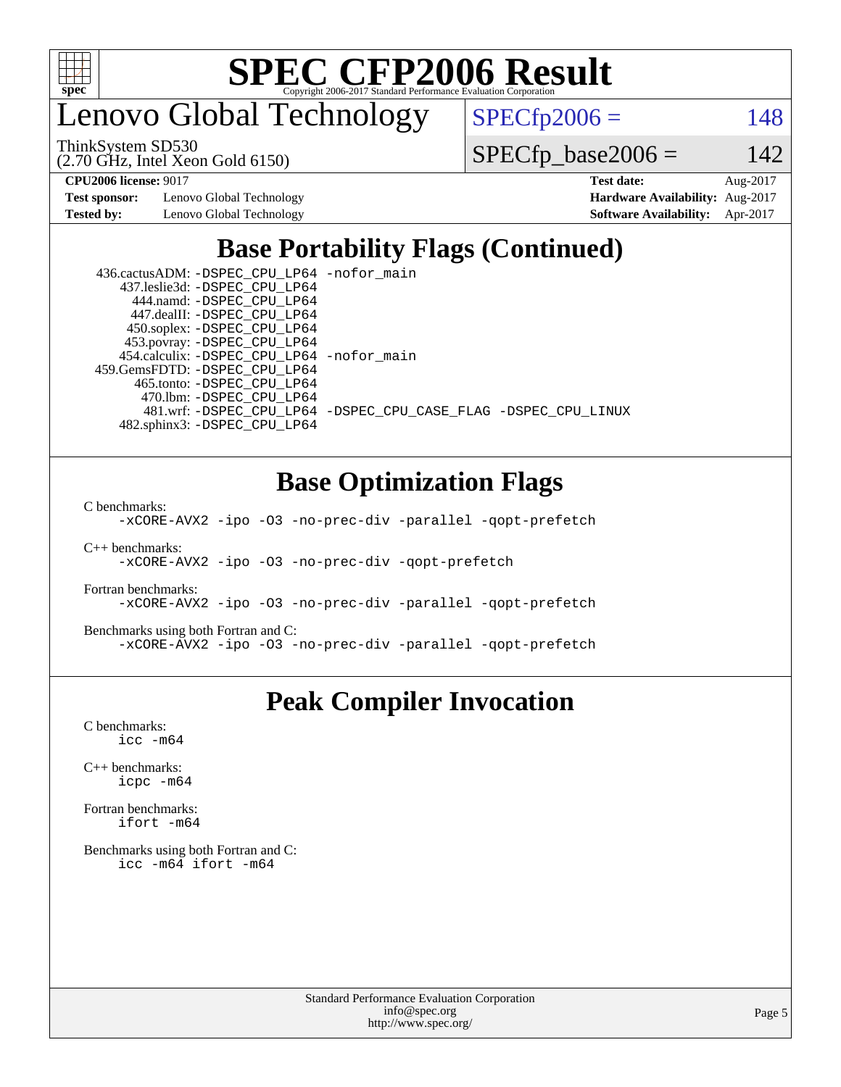

enovo Global Technology

ThinkSystem SD530

(2.70 GHz, Intel Xeon Gold 6150)

 $SPECTp2006 = 148$ 

 $SPECfp\_base2006 = 142$ 

**[Test sponsor:](http://www.spec.org/auto/cpu2006/Docs/result-fields.html#Testsponsor)** Lenovo Global Technology **[Hardware Availability:](http://www.spec.org/auto/cpu2006/Docs/result-fields.html#HardwareAvailability)** Aug-2017

**[CPU2006 license:](http://www.spec.org/auto/cpu2006/Docs/result-fields.html#CPU2006license)** 9017 **[Test date:](http://www.spec.org/auto/cpu2006/Docs/result-fields.html#Testdate)** Aug-2017 **[Tested by:](http://www.spec.org/auto/cpu2006/Docs/result-fields.html#Testedby)** Lenovo Global Technology **[Software Availability:](http://www.spec.org/auto/cpu2006/Docs/result-fields.html#SoftwareAvailability)** Apr-2017

# **[Base Portability Flags \(Continued\)](http://www.spec.org/auto/cpu2006/Docs/result-fields.html#BasePortabilityFlags)**

| 436.cactusADM: - DSPEC CPU LP64 - nofor main |                                                                |
|----------------------------------------------|----------------------------------------------------------------|
| 437.leslie3d: -DSPEC_CPU_LP64                |                                                                |
| 444.namd: - DSPEC CPU LP64                   |                                                                |
| 447.dealII: -DSPEC CPU LP64                  |                                                                |
| 450.soplex: -DSPEC_CPU_LP64                  |                                                                |
| 453.povray: -DSPEC_CPU_LP64                  |                                                                |
| 454.calculix: - DSPEC_CPU_LP64 -nofor_main   |                                                                |
| 459.GemsFDTD: - DSPEC_CPU_LP64               |                                                                |
| 465.tonto: -DSPEC CPU LP64                   |                                                                |
| 470.1bm: - DSPEC CPU LP64                    |                                                                |
|                                              | 481.wrf: -DSPEC CPU_LP64 -DSPEC_CPU_CASE_FLAG -DSPEC_CPU_LINUX |
| 482.sphinx3: -DSPEC CPU LP64                 |                                                                |

## **[Base Optimization Flags](http://www.spec.org/auto/cpu2006/Docs/result-fields.html#BaseOptimizationFlags)**

[C benchmarks](http://www.spec.org/auto/cpu2006/Docs/result-fields.html#Cbenchmarks):

[-xCORE-AVX2](http://www.spec.org/cpu2006/results/res2017q4/cpu2006-20170919-50131.flags.html#user_CCbase_f-xCORE-AVX2) [-ipo](http://www.spec.org/cpu2006/results/res2017q4/cpu2006-20170919-50131.flags.html#user_CCbase_f-ipo) [-O3](http://www.spec.org/cpu2006/results/res2017q4/cpu2006-20170919-50131.flags.html#user_CCbase_f-O3) [-no-prec-div](http://www.spec.org/cpu2006/results/res2017q4/cpu2006-20170919-50131.flags.html#user_CCbase_f-no-prec-div) [-parallel](http://www.spec.org/cpu2006/results/res2017q4/cpu2006-20170919-50131.flags.html#user_CCbase_f-parallel) [-qopt-prefetch](http://www.spec.org/cpu2006/results/res2017q4/cpu2006-20170919-50131.flags.html#user_CCbase_f-qopt-prefetch)

[C++ benchmarks:](http://www.spec.org/auto/cpu2006/Docs/result-fields.html#CXXbenchmarks) [-xCORE-AVX2](http://www.spec.org/cpu2006/results/res2017q4/cpu2006-20170919-50131.flags.html#user_CXXbase_f-xCORE-AVX2) [-ipo](http://www.spec.org/cpu2006/results/res2017q4/cpu2006-20170919-50131.flags.html#user_CXXbase_f-ipo) [-O3](http://www.spec.org/cpu2006/results/res2017q4/cpu2006-20170919-50131.flags.html#user_CXXbase_f-O3) [-no-prec-div](http://www.spec.org/cpu2006/results/res2017q4/cpu2006-20170919-50131.flags.html#user_CXXbase_f-no-prec-div) [-qopt-prefetch](http://www.spec.org/cpu2006/results/res2017q4/cpu2006-20170919-50131.flags.html#user_CXXbase_f-qopt-prefetch)

[Fortran benchmarks](http://www.spec.org/auto/cpu2006/Docs/result-fields.html#Fortranbenchmarks): [-xCORE-AVX2](http://www.spec.org/cpu2006/results/res2017q4/cpu2006-20170919-50131.flags.html#user_FCbase_f-xCORE-AVX2) [-ipo](http://www.spec.org/cpu2006/results/res2017q4/cpu2006-20170919-50131.flags.html#user_FCbase_f-ipo) [-O3](http://www.spec.org/cpu2006/results/res2017q4/cpu2006-20170919-50131.flags.html#user_FCbase_f-O3) [-no-prec-div](http://www.spec.org/cpu2006/results/res2017q4/cpu2006-20170919-50131.flags.html#user_FCbase_f-no-prec-div) [-parallel](http://www.spec.org/cpu2006/results/res2017q4/cpu2006-20170919-50131.flags.html#user_FCbase_f-parallel) [-qopt-prefetch](http://www.spec.org/cpu2006/results/res2017q4/cpu2006-20170919-50131.flags.html#user_FCbase_f-qopt-prefetch)

[Benchmarks using both Fortran and C](http://www.spec.org/auto/cpu2006/Docs/result-fields.html#BenchmarksusingbothFortranandC): [-xCORE-AVX2](http://www.spec.org/cpu2006/results/res2017q4/cpu2006-20170919-50131.flags.html#user_CC_FCbase_f-xCORE-AVX2) [-ipo](http://www.spec.org/cpu2006/results/res2017q4/cpu2006-20170919-50131.flags.html#user_CC_FCbase_f-ipo) [-O3](http://www.spec.org/cpu2006/results/res2017q4/cpu2006-20170919-50131.flags.html#user_CC_FCbase_f-O3) [-no-prec-div](http://www.spec.org/cpu2006/results/res2017q4/cpu2006-20170919-50131.flags.html#user_CC_FCbase_f-no-prec-div) [-parallel](http://www.spec.org/cpu2006/results/res2017q4/cpu2006-20170919-50131.flags.html#user_CC_FCbase_f-parallel) [-qopt-prefetch](http://www.spec.org/cpu2006/results/res2017q4/cpu2006-20170919-50131.flags.html#user_CC_FCbase_f-qopt-prefetch)

### **[Peak Compiler Invocation](http://www.spec.org/auto/cpu2006/Docs/result-fields.html#PeakCompilerInvocation)**

[C benchmarks](http://www.spec.org/auto/cpu2006/Docs/result-fields.html#Cbenchmarks): [icc -m64](http://www.spec.org/cpu2006/results/res2017q4/cpu2006-20170919-50131.flags.html#user_CCpeak_intel_icc_64bit_bda6cc9af1fdbb0edc3795bac97ada53)

[C++ benchmarks:](http://www.spec.org/auto/cpu2006/Docs/result-fields.html#CXXbenchmarks) [icpc -m64](http://www.spec.org/cpu2006/results/res2017q4/cpu2006-20170919-50131.flags.html#user_CXXpeak_intel_icpc_64bit_fc66a5337ce925472a5c54ad6a0de310)

[Fortran benchmarks](http://www.spec.org/auto/cpu2006/Docs/result-fields.html#Fortranbenchmarks): [ifort -m64](http://www.spec.org/cpu2006/results/res2017q4/cpu2006-20170919-50131.flags.html#user_FCpeak_intel_ifort_64bit_ee9d0fb25645d0210d97eb0527dcc06e)

[Benchmarks using both Fortran and C](http://www.spec.org/auto/cpu2006/Docs/result-fields.html#BenchmarksusingbothFortranandC): [icc -m64](http://www.spec.org/cpu2006/results/res2017q4/cpu2006-20170919-50131.flags.html#user_CC_FCpeak_intel_icc_64bit_bda6cc9af1fdbb0edc3795bac97ada53) [ifort -m64](http://www.spec.org/cpu2006/results/res2017q4/cpu2006-20170919-50131.flags.html#user_CC_FCpeak_intel_ifort_64bit_ee9d0fb25645d0210d97eb0527dcc06e)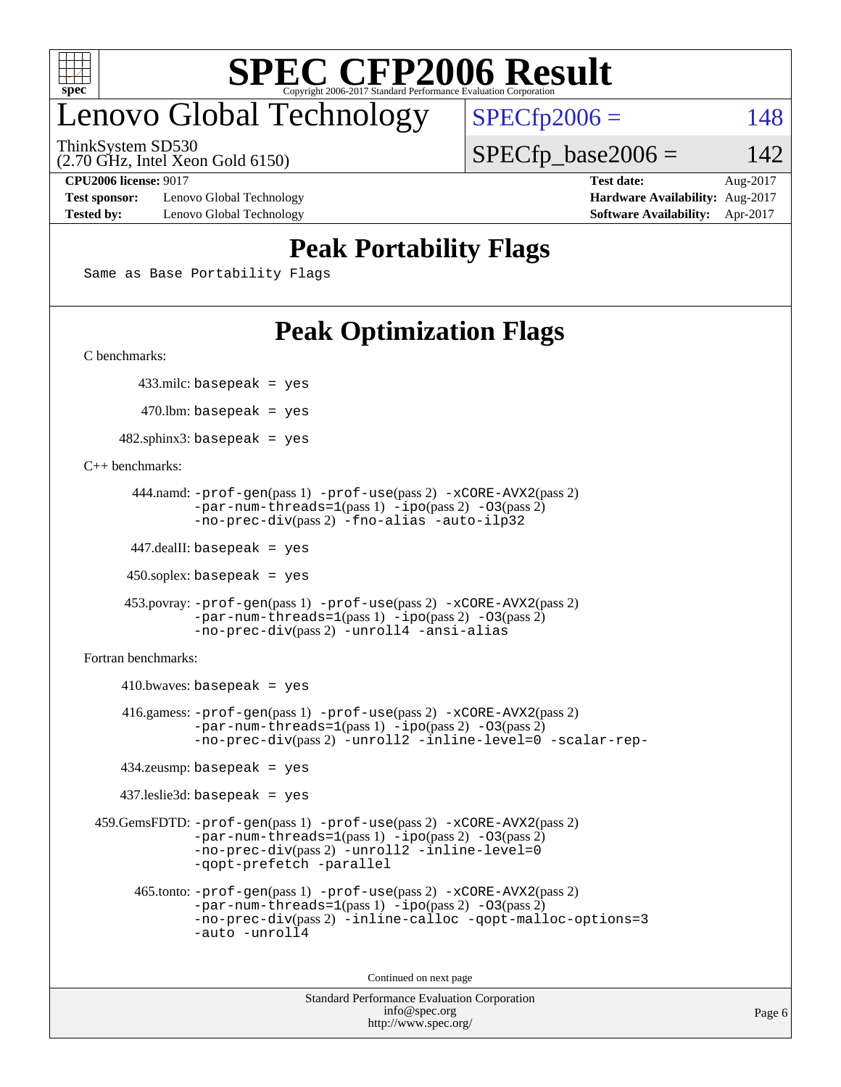

# enovo Global Technology

ThinkSystem SD530

(2.70 GHz, Intel Xeon Gold 6150)

 $SPECfp2006 = 148$  $SPECfp2006 = 148$  $SPECTp\_base2006 = 142$ 

**[Test sponsor:](http://www.spec.org/auto/cpu2006/Docs/result-fields.html#Testsponsor)** Lenovo Global Technology **[Hardware Availability:](http://www.spec.org/auto/cpu2006/Docs/result-fields.html#HardwareAvailability)** Aug-2017 **[Tested by:](http://www.spec.org/auto/cpu2006/Docs/result-fields.html#Testedby)** Lenovo Global Technology **[Software Availability:](http://www.spec.org/auto/cpu2006/Docs/result-fields.html#SoftwareAvailability)** Apr-2017

**[CPU2006 license:](http://www.spec.org/auto/cpu2006/Docs/result-fields.html#CPU2006license)** 9017 **[Test date:](http://www.spec.org/auto/cpu2006/Docs/result-fields.html#Testdate)** Aug-2017

## **[Peak Portability Flags](http://www.spec.org/auto/cpu2006/Docs/result-fields.html#PeakPortabilityFlags)**

Same as Base Portability Flags

# **[Peak Optimization Flags](http://www.spec.org/auto/cpu2006/Docs/result-fields.html#PeakOptimizationFlags)**

[C benchmarks](http://www.spec.org/auto/cpu2006/Docs/result-fields.html#Cbenchmarks):

433.milc: basepeak = yes

 $470.$ lbm: basepeak = yes

 $482$ .sphinx3: basepeak = yes

[C++ benchmarks:](http://www.spec.org/auto/cpu2006/Docs/result-fields.html#CXXbenchmarks)

```
 444.namd: -prof-gen(pass 1) -prof-use(pass 2) -xCORE-AVX2(pass 2)
        -par-num-threads=1(pass 1) -ipo(pass 2) -O3(pass 2)
        -no-prec-div(pass 2) -fno-alias -auto-ilp32
```
447.dealII: basepeak = yes

 $450$ .soplex: basepeak = yes

```
 453.povray: -prof-gen(pass 1) -prof-use(pass 2) -xCORE-AVX2(pass 2)
         -par-num-threads=1-ipo-O3(pass 2)-no-prec-div(pass 2) -unroll4 -ansi-alias
```
[Fortran benchmarks](http://www.spec.org/auto/cpu2006/Docs/result-fields.html#Fortranbenchmarks):

```
410.bwaves: basepeak = yes 416.gamess: -prof-gen(pass 1) -prof-use(pass 2) -xCORE-AVX2(pass 2)
            -par-num-threads=1-ipo-O3(pass 2)-no-prec-div(pass 2) -unroll2 -inline-level=0 -scalar-rep-
    434.zeusmp: basepeak = yes
    437.leslie3d: basepeak = yes
 459.GemsFDTD: -prof-gen(pass 1) -prof-use(pass 2) -xCORE-AVX2(pass 2)
            -par-num-threads=1-ipo-O3(pass 2)-no-prec-div(pass 2) -unroll2 -inline-level=0
            -qopt-prefetch -parallel
      465.tonto: -prof-gen(pass 1) -prof-use(pass 2) -xCORE-AVX2(pass 2)
            -par-num-threads=1(pass 1) -ipo(pass 2) -O3(pass 2)
            -no-prec-div-inline-calloc-qopt-malloc-options=3
            -auto -unroll4
```
Continued on next page

```
Standard Performance Evaluation Corporation
             info@spec.org
           http://www.spec.org/
```